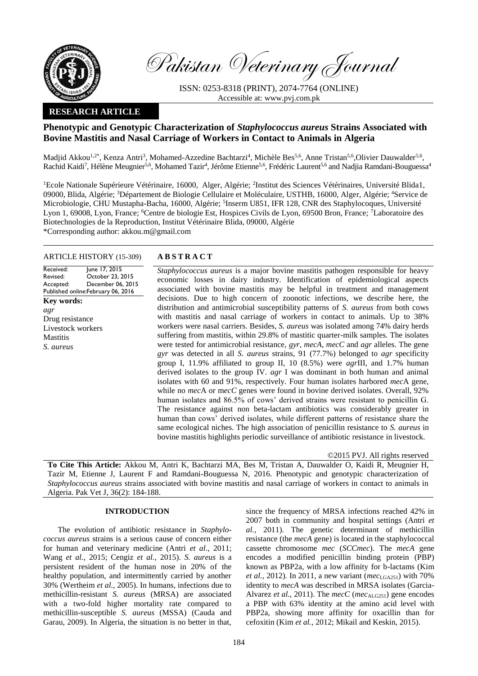

Pakistan Veterinary Journal

ISSN: 0253-8318 (PRINT), 2074-7764 (ONLINE) Accessible at: [www.pvj.com.pk](http://www.pvj.com.pk/)

# **RESEARCH ARTICLE**

# **Phenotypic and Genotypic Characterization of** *Staphylococcus aureus* **Strains Associated with Bovine Mastitis and Nasal Carriage of Workers in Contact to Animals in Algeria**

Madjid Akkou<sup>1,2\*</sup>, Kenza Antri<sup>3</sup>, Mohamed-Azzedine Bachtarzi<sup>4</sup>, Michèle Bes<sup>5,6</sup>, Anne Tristan<sup>5,6</sup>,Olivier Dauwalder<sup>5,6</sup>, Rachid Kaidi<sup>7</sup>, Hélène Meugnier<sup>5,6</sup>, Mohamed Tazir<sup>4</sup>, Jérôme Etienne<sup>5,6</sup>, Frédéric Laurent<sup>5,6</sup> and Nadjia Ramdani-Bouguessa<sup>4</sup>

<sup>1</sup>Ecole Nationale Supérieure Vétérinaire, 16000, Alger, Algérie; <sup>2</sup>Institut des Sciences Vétérinaires, Université Blida1, 09000, Blida, Algérie; <sup>3</sup>Département de Biologie Cellulaire et Moléculaire, USTHB, 16000, Alger, Algérie; <sup>4</sup>Service de Microbiologie, CHU Mustapha-Bacha, 16000, Algérie; <sup>5</sup>Inserm U851, IFR 128, CNR des Staphylocoques, Université Lyon 1, 69008, Lyon, France; <sup>6</sup>Centre de biologie Est, Hospices Civils de Lyon, 69500 Bron, France; <sup>7</sup>Laboratoire des Biotechnologies de la Reproduction, Institut Vétérinaire Blida, 09000, Algérie \*Corresponding author: akkou.m@gmail.com

## ARTICLE HISTORY (15-309) **A B S T R A C T**

Received: Revised: Accepted: Published online: February 06, 2016 June 17, 2015 October 23, 2015 December 06, 2015 **Key words:**  *agr* Drug resistance Livestock workers **Mastitis** *S. aureus*

*Staphylococcus aureus* is a major bovine mastitis pathogen responsible for heavy economic losses in dairy industry. Identification of epidemiological aspects associated with bovine mastitis may be helpful in treatment and management decisions. Due to high concern of zoonotic infections, we describe here, the distribution and antimicrobial susceptibility patterns of *S. aureus* from both cows with mastitis and nasal carriage of workers in contact to animals. Up to 38% workers were nasal carriers. Besides, *S. aureus* was isolated among 74% dairy herds suffering from mastitis, within 29.8% of mastitic quarter-milk samples. The isolates were tested for antimicrobial resistance, *gyr*, *mecA*, *mecC* and *agr* alleles. The gene *gyr* was detected in all *S. aureus* strains, 91 (77.7%) belonged to *agr* specificity group I, 11.9% affiliated to group II, 10 (8.5%) were *agr*III, and 1.7% human derived isolates to the group IV. *agr* I was dominant in both human and animal isolates with 60 and 91%, respectively. Four human isolates harbored *mec*A gene, while no *mec*A or m*ecC* genes were found in bovine derived isolates. Overall, 92% human isolates and 86.5% of cows' derived strains were resistant to penicillin G. The resistance against non beta-lactam antibiotics was considerably greater in human than cows' derived isolates, while different patterns of resistance share the same ecological niches. The high association of penicillin resistance to *S. aureus* in bovine mastitis highlights periodic surveillance of antibiotic resistance in livestock.

©2015 PVJ. All rights reserved

**To Cite This Article:** Akkou M, Antri K, Bachtarzi MA, Bes M, Tristan A, Dauwalder O, Kaidi R, Meugnier H, Tazir M, Etienne J, Laurent F and Ramdani-Bouguessa N, 2016. Phenotypic and genotypic characterization of *Staphylococcus aureus* strains associated with bovine mastitis and nasal carriage of workers in contact to animals in Algeria. Pak Vet J, 36(2): 184-188.

## **INTRODUCTION**

The evolution of antibiotic resistance in *Staphylococcus aureus* strains is a serious cause of concern either for human and veterinary medicine (Antri *et al*., 2011; Wang *et al.,* 2015; Cengiz *et al.,* 2015). *S. aureus* is a persistent resident of the human nose in 20% of the healthy population, and intermittently carried by another 30% (Wertheim *et al.,* 2005). In humans, infections due to methicillin-resistant *S. aureus* (MRSA) are associated with a two-fold higher mortality rate compared to methicillin-susceptible *S. aureus* (MSSA) (Cauda and Garau, 2009). In Algeria, the situation is no better in that,

since the frequency of MRSA infections reached 42% in 2007 both in community and hospital settings (Antri *et al.,* 2011). The genetic determinant of methicillin resistance (the *mecA* gene) is located in the staphylococcal cassette chromosome *mec* (*SCCmec*). The *mecA* gene encodes a modified penicillin binding protein (PBP) known as PBP2a, with a low affinity for b-lactams (Kim *et al.*, 2012). In 2011, a new variant ( $mec_{LGA251}$ ) with 70% identity to *mecA* was described in MRSA isolates (Garcia-Alvarez *et al.*, 2011). The *mecC* (*mec*<sub>ALG251</sub>) gene encodes a PBP with 63% identity at the amino acid level with PBP2a, showing more affinity for oxacillin than for cefoxitin (Kim *et al.,* 2012[; Mikail a](http://apps.webofknowledge.com/OneClickSearch.do?product=WOS&search_mode=OneClickSearch&excludeEventConfig=ExcludeIfFromFullRecPage&colName=WOS&SID=U2WY36lJIrcIFHj6Tt3&field=AU&value=Mikail,%20N)nd [Keskin,](http://apps.webofknowledge.com/OneClickSearch.do?product=WOS&search_mode=OneClickSearch&excludeEventConfig=ExcludeIfFromFullRecPage&colName=WOS&SID=U2WY36lJIrcIFHj6Tt3&field=AU&value=Keskin,%20I) 2015).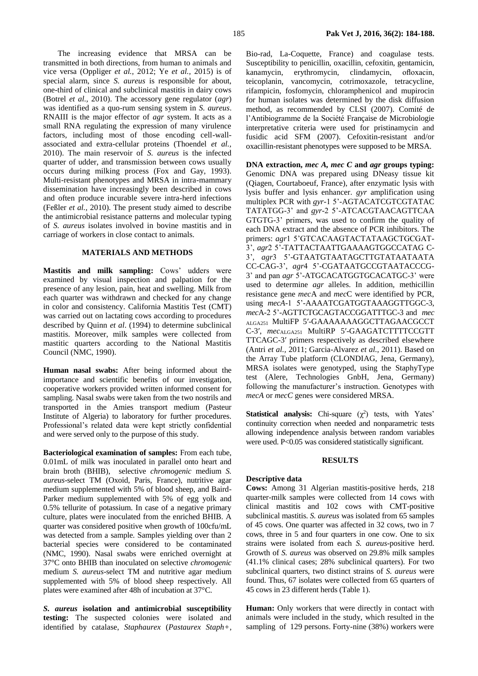The increasing evidence that MRSA can be transmitted in both directions, from human to animals and vice versa (Oppliger *et al.,* 2012; Ye *et al.,* 2015) is of special alarm, since *S. aureus* is responsible for about, one-third of clinical and subclinical mastitis in dairy cows (Botrel *et al.,* 2010). The accessory gene regulator (*agr*) was identified as a quo-rum sensing system in *S. aureus*. RNAIII is the major effector of *agr* system. It acts as a small RNA regulating the expression of many virulence factors, including most of those encoding cell-wallassociated and extra-cellular proteins (Thoendel *et al.,* 2010). The main reservoir of *S. aureus* is the infected quarter of udder, and transmission between cows usually occurs during milking process (Fox and Gay, 1993). Multi-resistant phenotypes and MRSA in intra-mammary dissemination have increasingly been described in cows and often produce incurable severe intra-herd infections (Feßler *et al.,* 2010). The present study aimed to describe the antimicrobial resistance patterns and molecular typing of *S. aureus* isolates involved in bovine mastitis and in carriage of workers in close contact to animals.

## **MATERIALS AND METHODS**

**Mastitis and milk sampling:** Cows' udders were examined by visual inspection and palpation for the presence of any lesion, pain, heat and swelling. Milk from each quarter was withdrawn and checked for any change in color and consistency. California Mastitis Test (CMT) was carried out on lactating cows according to procedures described by Quinn *et al*. (1994) to determine subclinical mastitis. Moreover, milk samples were collected from mastitic quarters according to the National Mastitis Council (NMC, 1990).

**Human nasal swabs:** After being informed about the importance and scientific benefits of our investigation, cooperative workers provided written informed consent for sampling. Nasal swabs were taken from the two nostrils and transported in the Amies transport medium (Pasteur Institute of Algeria) to laboratory for further procedures. Professional's related data were kept strictly confidential and were served only to the purpose of this study.

**Bacteriological examination of samples:** From each tube, 0.01mL of milk was inoculated in parallel onto heart and brain broth (BHIB), selective *chromogenic* medium *S. aureus*-select TM (Oxoid, Paris, France), nutritive agar medium supplemented with 5% of blood sheep, and Baird-Parker medium supplemented with 5% of egg yolk and 0.5% tellurite of potassium. In case of a negative primary culture, plates were inoculated from the enriched BHIB. A quarter was considered positive when growth of 100cfu/mL was detected from a sample. Samples yielding over than 2 bacterial species were considered to be contaminated (NMC, 1990). Nasal swabs were enriched overnight at 37°C onto BHIB than inoculated on selective *chromogenic* medium *S. aureus*-select TM and nutritive agar medium supplemented with 5% of blood sheep respectively. All plates were examined after 48h of incubation at 37°C.

*S. aureus* **isolation and antimicrobial susceptibility testing:** The suspected colonies were isolated and identified by catalase, *Staphaurex* (*Pastaurex Staph+*, Bio-rad, La-Coquette, France) and coagulase tests. Susceptibility to penicillin, oxacillin, cefoxitin, gentamicin, kanamycin, erythromycin, clindamycin, ofloxacin, teicoplanin, vancomycin, cotrimoxazole, tetracycline, rifampicin, fosfomycin, chloramphenicol and mupirocin for human isolates was determined by the disk diffusion method, as recommended by CLSI (2007). Comité de l'Antibiogramme de la Société Française de Microbiologie interpretative criteria were used for pristinamycin and fusidic acid SFM (2007). Cefoxitin-resistant and/or oxacillin-resistant phenotypes were supposed to be MRSA.

**DNA extraction,** *mec A, mec C* **and** *agr* **groups typing:**  Genomic DNA was prepared using DNeasy tissue kit (Qiagen, Courtaboeuf, France), after enzymatic lysis with lysis buffer and lysis enhancer. *gyr* amplification using multiplex PCR with *gyr-*1 5'-AGTACATCGTCGTATAC TATATGG-3' and *gyr*-2 5'-ATCACGTAACAGTTCAA GTGTG-3' primers, was used to confirm the quality of each DNA extract and the absence of PCR inhibitors. The primers: *agr*1 5'GTCACAAGTACTATAAGCTGCGAT-3', *agr*2 5'-TATTACTAATTGAAAAGTGGCCATAG C-3', *agr*3 5'-GTAATGTAATAGCTTGTATAATAATA CC-CAG-3', *agr*4 5'-CGATAATGCCGTAATACCCG-3' and pan *agr* 5'-ATGCACATGGTGCACATGC-3' were used to determine *agr* alleles. In addition, methicillin resistance gene *mec*A and *mec*C were identified by PCR, using *mecA*-1 5'-AAAATCGATGGTAAAGGTTGGC-3, *mec*A-2 5'-AGTTCTGCAGTACCGGATTTGC-3 and *mec* ALGA251 MultiFP 5′-GAAAAAAAGGCTTAGAACGCCT C-3′, *mec*ALGA251 MultiRP 5′-GAAGATCTTTTCCGTT TTCAGC-3′ primers respectively as described elsewhere (Antri *et al.,* 2011; Garcia-Alvarez *et al.,* 2011). Based on the Array Tube platform (CLONDIAG, Jena, Germany), MRSA isolates were genotyped, using the StaphyType test (Alere, Technologies GnbH, Jena, Germany) following the manufacturer's instruction. Genotypes with *mecA* or *mecC* genes were considered MRSA.

**Statistical analysis:** Chi-square  $(\chi^2)$  tests, with Yates' continuity correction when needed and nonparametric tests allowing independence analysis between random variables were used. P<0.05 was considered statistically significant.

## **RESULTS**

## **Descriptive data**

**Cows:** Among 31 Algerian mastitis-positive herds, 218 quarter-milk samples were collected from 14 cows with clinical mastitis and 102 cows with CMT-positive subclinical mastitis. *S. aureus* was isolated from 65 samples of 45 cows. One quarter was affected in 32 cows, two in 7 cows, three in 5 and four quarters in one cow. One to six strains were isolated from each *S. aureus*-positive herd. Growth of *S. aureus* was observed on 29.8% milk samples (41.1% clinical cases; 28% subclinical quarters). For two subclinical quarters, two distinct strains of *S. aureus* were found. Thus, 67 isolates were collected from 65 quarters of 45 cows in 23 different herds (Table 1).

**Human:** Only workers that were directly in contact with animals were included in the study, which resulted in the sampling of 129 persons. Forty-nine (38%) workers were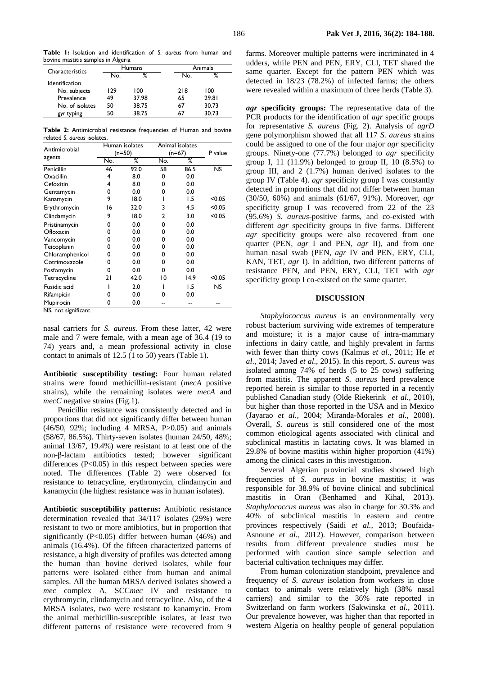**Table 1:** Isolation and identification of *S. aureus* from human and bovine mastitis samples in Algeria

| Characteristics       |     | Humans | Animals |       |  |
|-----------------------|-----|--------|---------|-------|--|
|                       | No. | ℅      | No.     | %     |  |
| <b>Identification</b> |     |        |         |       |  |
| No. subjects          | 129 | 100    | 218     | 100   |  |
| Prevalence            | 49  | 37.98  | 65      | 29.81 |  |
| No. of isolates       | 50  | 38.75  | 67      | 30.73 |  |
| gyr typing            | 50  | 38.75  | 67      | 30.73 |  |

**Table 2:** Antimicrobial resistance frequencies of Human and bovine related *S. aureus* isolates.

| Antimicrobial   |     | Human isolates |     | Animal isolates |           |
|-----------------|-----|----------------|-----|-----------------|-----------|
|                 |     | $(n=50)$       |     | $(n=67)$        |           |
| agents          | No. | %              | No. | %               |           |
| Penicillin      | 46  | 92.0           | 58  | 86.5            | <b>NS</b> |
| Oxacillin       | 4   | 8.0            | 0   | 0.0             |           |
| Cefoxitin       | 4   | 8.0            | 0   | 0.0             |           |
| Gentamycin      | 0   | 0.0            | 0   | 0.0             |           |
| Kanamycin       | 9   | 18.0           |     | 1.5             | < 0.05    |
| Erythromycin    | 16  | 32.0           | 3   | 4.5             | < 0.05    |
| Clindamycin     | 9   | 18.0           | 2   | 3.0             | < 0.05    |
| Pristinamycin   | 0   | 0.0            | 0   | 0.0             |           |
| Ofloxacin       | 0   | 0.0            | n   | 0.0             |           |
| Vancomycin      | 0   | 0.0            | 0   | 0.0             |           |
| Teicoplanin     | 0   | 0.0            | 0   | 0.0             |           |
| Chloramphenicol | 0   | 0.0            | 0   | 0.0             |           |
| Cotrimoxazole   | 0   | 0.0            | 0   | 0.0             |           |
| Fosfomycin      | 0   | 0.0            | 0   | 0.0             |           |
| Tetracycline    | 21  | 42.0           | 10  | 14.9            | < 0.05    |
| Fusidic acid    |     | 2.0            |     | 1.5             | <b>NS</b> |
| Rifampicin      | 0   | 0.0            | ŋ   | 0.0             |           |
| Mupirocin       | 0   | 0.0            |     |                 |           |

NS, not significant

nasal carriers for *S. aureus*. From these latter, 42 were male and 7 were female, with a mean age of 36.4 (19 to 74) years and, a mean professional activity in close contact to animals of 12.5 (1 to 50) years (Table 1).

**Antibiotic susceptibility testing:** Four human related strains were found methicillin-resistant (*mecA* positive strains), while the remaining isolates were *mecA* and *mecC* negative strains (Fig.1).

Penicillin resistance was consistently detected and in proportions that did not significantly differ between human (46/50, 92%; including 4 MRSA, P>0.05) and animals (58/67, 86.5%). Thirty-seven isolates (human 24/50, 48%; animal 13/67, 19.4%) were resistant to at least one of the non-β-lactam antibiotics tested; however significant differences  $(P<0.05)$  in this respect between species were noted. The differences (Table 2) were observed for resistance to tetracycline, erythromycin, clindamycin and kanamycin (the highest resistance was in human isolates).

**Antibiotic susceptibility patterns:** Antibiotic resistance determination revealed that 34/117 isolates (29%) were resistant to two or more antibiotics, but in proportion that significantly  $(P<0.05)$  differ between human  $(46%)$  and animals (16.4%). Of the fifteen characterized patterns of resistance, a high diversity of profiles was detected among the human than bovine derived isolates, while four patterns were isolated either from human and animal samples. All the human MRSA derived isolates showed a *mec* complex A, SCC*mec* IV and resistance to erythromycin, clindamycin and tetracycline. Also, of the 4 MRSA isolates, two were resistant to kanamycin. From the animal methicillin-susceptible isolates, at least two different patterns of resistance were recovered from 9

farms. Moreover multiple patterns were incriminated in 4 udders, while PEN and PEN, ERY, CLI, TET shared the same quarter. Except for the pattern PEN which was detected in 18/23 (78.2%) of infected farms; the others were revealed within a maximum of three herds (Table 3).

*agr* **specificity groups:** The representative data of the PCR products for the identification of *agr* specific groups for representative *S. aureus* (Fig. 2). Analysis of *agrD*  gene polymorphism showed that all 117 *S. aureus* strains could be assigned to one of the four major *agr* specificity groups. Ninety-one (77.7%) belonged to *agr* specificity group I, 11 (11.9%) belonged to group II, 10  $(8.5\%)$  to group III, and 2 (1.7%) human derived isolates to the group IV (Table 4). *agr* specificity group I was constantly detected in proportions that did not differ between human (30/50, 60%) and animals (61/67, 91%). Moreover, *agr*  specificity group I was recovered from 22 of the 23 (95.6%) *S. aureus*-positive farms, and co-existed with different *agr* specificity groups in five farms. Different *agr* specificity groups were also recovered from one quarter (PEN, *agr* I and PEN, *agr* II), and from one human nasal swab (PEN, *agr* IV and PEN, ERY, CLI, KAN, TET, *agr* I). In addition, two different patterns of resistance PEN, and PEN, ERY, CLI, TET with *agr*  specificity group I co-existed on the same quarter.

## **DISCUSSION**

*Staphylococcus aureus* is an environmentally very robust bacterium surviving wide extremes of temperature and moisture; it is a major cause of intra-mammary infections in dairy cattle, and highly prevalent in farms with fewer than thirty cows (Kalmus *et al.,* 2011; He *et al*., 2014; Javed *et al*., 2015). In this report, *S. aureus* was isolated among 74% of herds (5 to 25 cows) suffering from mastitis. The apparent *S. aureus* herd prevalence reported herein is similar to those reported in a recently published Canadian study (Olde Riekerink *et al.,* 2010), but higher than those reported in the USA and in Mexico (Jayarao *et al.,* 2004; Miranda-Morales *et al.,* 2008). Overall, *S. aureus* is still considered one of the most common etiological agents associated with clinical and subclinical mastitis in lactating cows. It was blamed in 29.8% of bovine mastitis within higher proportion (41%) among the clinical cases in this investigation.

Several Algerian provincial studies showed high frequencies of *S. aureus* in bovine mastitis; it was responsible for 38.9% of bovine clinical and subclinical mastitis in Oran (Benhamed and Kihal, 2013). *Staphylococcus aureus* was also in charge for 30.3% and 40% of subclinical mastitis in eastern and centre provinces respectively (Saidi *et al.,* 2013; Boufaida-Asnoune *et al.,* 2012). However, comparison between results from different prevalence studies must be performed with caution since sample selection and bacterial cultivation techniques may differ.

From human colonization standpoint, prevalence and frequency of *S. aureus* isolation from workers in close contact to animals were relatively high (38% nasal carriers) and similar to the 36% rate reported in Switzerland on farm workers (Sakwinska *et al.,* 2011). Our prevalence however, was higher than that reported in western Algeria on healthy people of general population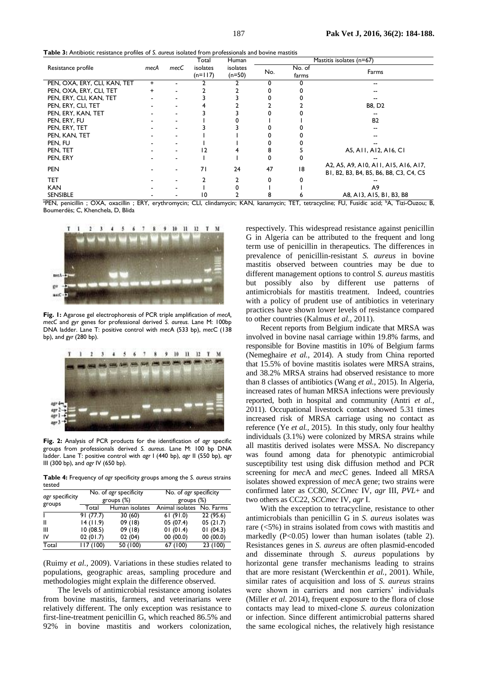**Table 3:** Antibiotic resistance profiles of *S. aureus* isolated from professionals and bovine mastitis

|                              |           |      | Total                 | Human                | Mastitis isolates (n=67) |                 |                                                                                |  |
|------------------------------|-----------|------|-----------------------|----------------------|--------------------------|-----------------|--------------------------------------------------------------------------------|--|
| Resistance profile           | mecA      | mecC | isolates<br>$(n=117)$ | isolates<br>$(n=50)$ | No.                      | No. of<br>farms | Farms                                                                          |  |
| PEN, OXA, ERY, CLI, KAN, TET | $\ddot{}$ |      |                       |                      | 0                        |                 | --                                                                             |  |
| PEN, OXA, ERY, CLI, TET      | $\ddot{}$ |      |                       |                      |                          |                 |                                                                                |  |
| PEN, ERY, CLI, KAN, TET      |           |      |                       |                      |                          |                 |                                                                                |  |
| PEN, ERY, CLI, TET           |           |      |                       |                      |                          |                 | <b>B8, D2</b>                                                                  |  |
| PEN, ERY, KAN, TET           |           |      |                       |                      |                          |                 |                                                                                |  |
| PEN, ERY, FU                 |           |      |                       |                      |                          |                 | <b>B2</b>                                                                      |  |
| PEN, ERY, TET                |           |      |                       |                      |                          |                 |                                                                                |  |
| PEN, KAN, TET                |           |      |                       |                      |                          |                 |                                                                                |  |
| PEN, FU                      |           |      |                       |                      |                          |                 |                                                                                |  |
| PEN, TET                     |           |      | 12                    |                      |                          |                 | A5, A11, A12, A16, CI                                                          |  |
| PEN, ERY                     |           | ٠    |                       |                      |                          |                 |                                                                                |  |
| <b>PEN</b>                   |           |      | 71                    | 24                   | 47                       | 18              | A2, A5, A9, A10, A11, A15, A16, A17,<br>B1, B2, B3, B4, B5, B6, B8, C3, C4, C5 |  |
| <b>TET</b>                   |           |      |                       |                      | 0                        |                 |                                                                                |  |
| <b>KAN</b>                   |           |      |                       |                      |                          |                 | A9                                                                             |  |
| <b>SENSIBLE</b>              |           |      | 10                    |                      | 8                        |                 | A8, A13, A15, B1, B3, B8                                                       |  |

<sup>a</sup>PEN, penicillin ; OXA, oxacillin ; ERY, erythromycin; CLI, clindamycin; KAN, kanamycin; TET, tetracycline; FU, Fusidic acid; <sup>b</sup>A, Tizi-Ouzou; B, Boumerdès; C, Khenchela, D, Blida



**Fig. 1:** Agarose gel electrophoresis of PCR triple amplification of *mecA, mecC* and *gyr* genes for professional derived *S. aureus.* Lane M: 100bp DNA ladder. Lane T: positive control with *mec*A (533 bp), *mec*C (138 bp), and *gyr* (280 bp).



**Fig. 2:** Analysis of PCR products for the identification of *agr* specific groups from professionals derived *S. aureus*. Lane M: 100 bp DNA ladder. Lane T: positive control with *agr* I (440 bp), *agr* II (550 bp), *agr* III (300 bp), and *agr* IV (650 bp).

**Table 4:** Frequency of *agr* specificity groups among the *S. aureus* strains tested

| agr specificity |          | No. of <i>agr</i> specificity | No. of <i>agr</i> specificity |                      |  |
|-----------------|----------|-------------------------------|-------------------------------|----------------------|--|
|                 |          | groups $(\%)$                 | groups $(\%)$                 |                      |  |
| groups          | Total    | Human isolates                | Animal isolates               | No. Farms            |  |
|                 | 91(77.7) | 30(60)                        | 61(91.0)                      | 22(95.6)             |  |
| Ш               | 14(11.9) | 09(18)                        | 05 (07.4)                     | 05(21.7)             |  |
| Ш               | 10(08.5) | 09 (18)                       | 01(01.4)                      | 01(04.3)             |  |
| IV              | 02(01.7) | 02 (04)                       | 00(00.0)                      | 00(00.0)             |  |
| Total           | 117(100) | 50 (100)                      | 67(100)                       | $\overline{23(100)}$ |  |

(Ruimy *et al.,* 2009). Variations in these studies related to populations, geographic areas, sampling procedure and methodologies might explain the difference observed.

The levels of antimicrobial resistance among isolates from bovine mastitis, farmers, and veterinarians were relatively different. The only exception was resistance to first-line-treatment penicillin G, which reached 86.5% and 92% in bovine mastitis and workers colonization,

respectively. This widespread resistance against penicillin G in Algeria can be attributed to the frequent and long term use of penicillin in therapeutics. The differences in prevalence of penicillin-resistant *S. aureus* in bovine mastitis observed between countries may be due to different management options to control *S. aureus* mastitis but possibly also by different use patterns of antimicrobials for mastitis treatment. Indeed, countries with a policy of prudent use of antibiotics in veterinary practices have shown lower levels of resistance compared to other countries (Kalmus *et al.,* 2011).

Recent reports from Belgium indicate that MRSA was involved in bovine nasal carriage within 19.8% farms, and responsible for Bovine mastitis in 10% of Belgium farms (Nemeghaire *et al.,* 2014). A study from China reported that 15.5% of bovine mastitis isolates were MRSA strains, and 38.2% MRSA strains had observed resistance to more than 8 classes of antibiotics (Wang *et al.,* 2015). In Algeria, increased rates of human MRSA infections were previously reported, both in hospital and community (Antri *et al.,* 2011). Occupational livestock contact showed 5.31 times increased risk of MRSA carriage using no contact as reference (Ye *et al.,* 2015). In this study, only four healthy individuals (3.1%) were colonized by MRSA strains while all mastitis derived isolates were MSSA. No discrepancy was found among data for phenotypic antimicrobial susceptibility test using disk diffusion method and PCR screening for *mec*A and *mec*C genes. Indeed all MRSA isolates showed expression of *mec*A gene; two strains were confirmed later as CC80, *SCCmec* IV, *agr* III, *PVL*+ and two others as CC22, *SCCmec* IV, *agr* I.

With the exception to tetracycline, resistance to other antimicrobials than penicillin G in *S. aureus* isolates was rare (<5%) in strains isolated from cows with mastitis and markedly  $(P<0.05)$  lower than human isolates (table 2). Resistances genes in *S. aureus* are often plasmid-encoded and disseminate through *S. aureus* populations by horizontal gene transfer mechanisms leading to strains that are more resistant (Werckenthin *et al.,* 2001). While, similar rates of acquisition and loss of *S. aureus* strains were shown in carriers and non carriers' individuals (Miller *et al.* 2014), frequent exposure to the flora of close contacts may lead to mixed-clone *S. aureus* colonization or infection. Since different antimicrobial patterns shared the same ecological niches, the relatively high resistance